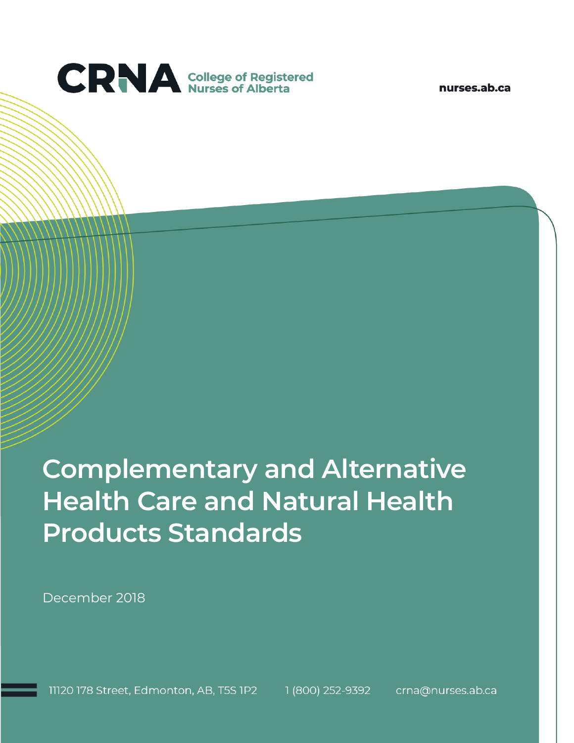

nurses.ab.ca

# **Complementary and Alternative Health Care and Natural Health Products Standards**

December 2018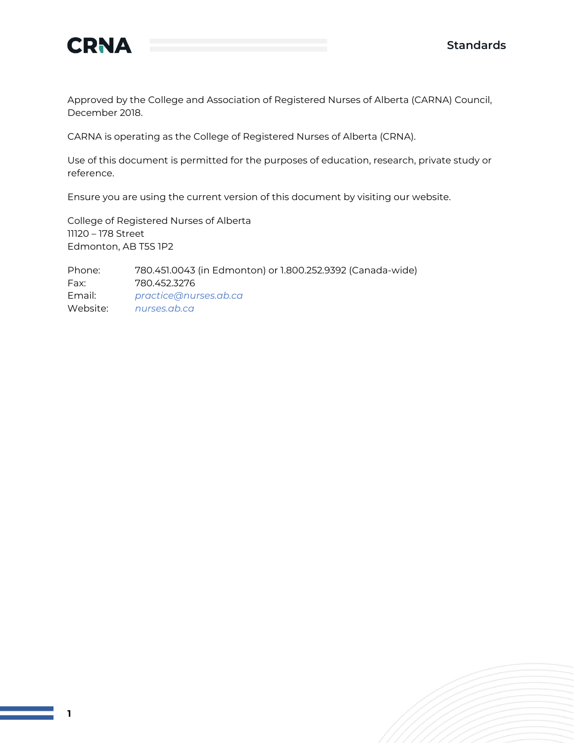

Approved by the College and Association of Registered Nurses of Alberta (CARNA) Council, December 2018.

CARNA is operating as the College of Registered Nurses of Alberta (CRNA).

Use of this document is permitted for the purposes of education, research, private study or reference.

Ensure you are using the current version of this document by visiting our website.

College of Registered Nurses of Alberta 11120 – 178 Street Edmonton, AB T5S 1P2

Phone: 780.451.0043 (in Edmonton) or 1.800.252.9392 (Canada-wide) Fax: 780.452.3276 Email: *[practice@nurses.ab.ca](mailto:practice@nurses.ab.ca)* Website: *[nurses.ab.ca](http://www.nurses.ab.ca/)*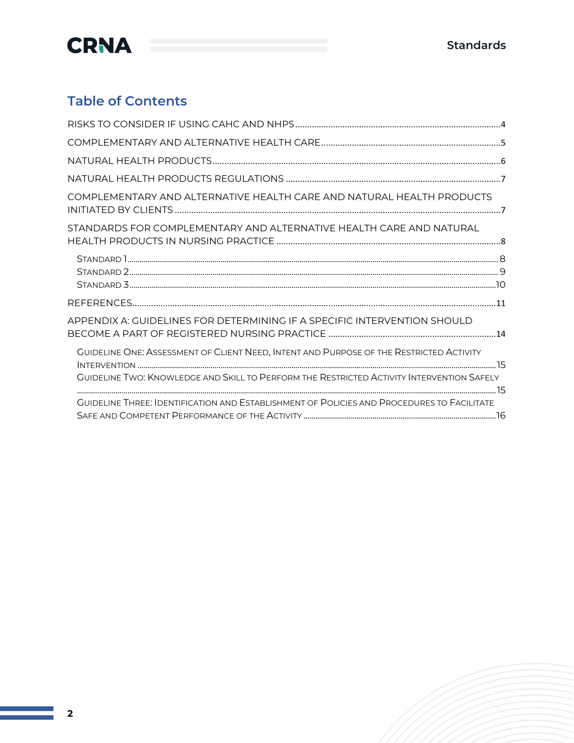

### **Table of Contents**

| COMPLEMENTARY AND ALTERNATIVE HEALTH CARE AND NATURAL HEALTH PRODUCTS                             |
|---------------------------------------------------------------------------------------------------|
| STANDARDS FOR COMPLEMENTARY AND ALTERNATIVE HEALTH CARE AND NATURAL                               |
|                                                                                                   |
|                                                                                                   |
| APPENDIX A: GUIDELINES FOR DETERMINING IF A SPECIFIC INTERVENTION SHOULD                          |
| GUIDELINE ONE: ASSESSMENT OF CLIENT NEED, INTENT AND PURPOSE OF THE RESTRICTED ACTIVITY           |
| GUIDELINE TWO: KNOWLEDGE AND SKILL TO PERFORM THE RESTRICTED ACTIVITY INTERVENTION SAFELY         |
| <b>GUIDELINE THREE: IDENTIFICATION AND ESTABLISHMENT OF POLICIES AND PROCEDURES TO FACILITATE</b> |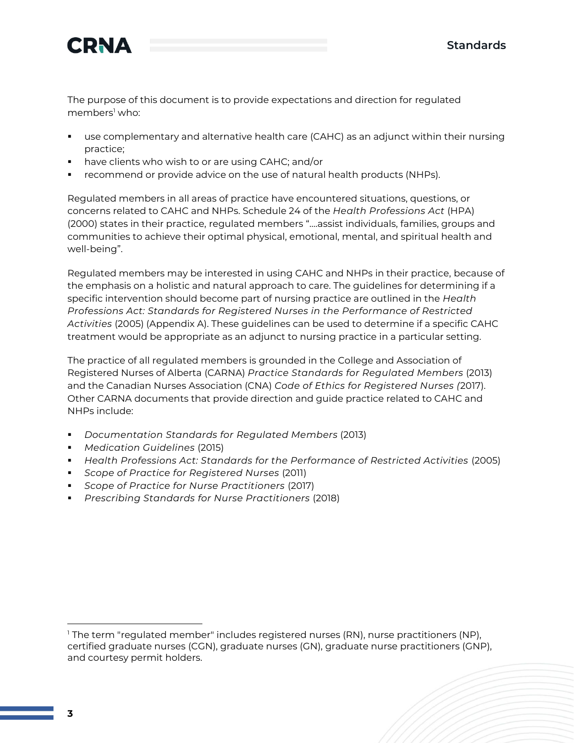

The purpose of this document is to provide expectations and direction for regulated members<sup>1</sup> who:

- use complementary and alternative health care (CAHC) as an adjunct within their nursing practice;
- have clients who wish to or are using CAHC; and/or
- recommend or provide advice on the use of natural health products (NHPs).

Regulated members in all areas of practice have encountered situations, questions, or concerns related to CAHC and NHPs. Schedule 24 of the *Health Professions Act* (HPA) (2000) states in their practice, regulated members "….assist individuals, families, groups and communities to achieve their optimal physical, emotional, mental, and spiritual health and well-being".

Regulated members may be interested in using CAHC and NHPs in their practice, because of the emphasis on a holistic and natural approach to care. The guidelines for determining if a specific intervention should become part of nursing practice are outlined in the *Health Professions Act: Standards for Registered Nurses in the Performance of Restricted Activities* (2005) (Appendix A). These guidelines can be used to determine if a specific CAHC treatment would be appropriate as an adjunct to nursing practice in a particular setting.

The practice of all regulated members is grounded in the College and Association of Registered Nurses of Alberta (CARNA) *Practice Standards for Regulated Members* (2013) and the Canadian Nurses Association (CNA) *Code of Ethics for Registered Nurses (*2017). Other CARNA documents that provide direction and guide practice related to CAHC and NHPs include:

- *Documentation Standards for Regulated Members* (2013)
- *Medication Guidelines* (2015)
- *Health Professions Act: Standards for the Performance of Restricted Activities* (2005)
- *Scope of Practice for Registered Nurses* (2011)
- *Scope of Practice for Nurse Practitioners* (2017)
- *[Prescribing Standards for Nurse Practitioners](http://www.nurses.ab.ca/content/dam/carna/pdfs/DocumentList/Standards/NP_PrescribingStandards_June2018.pdf)* (2018)

<sup>&</sup>lt;sup>1</sup> The term "regulated member" includes registered nurses (RN), nurse practitioners (NP), certified graduate nurses (CGN), graduate nurses (GN), graduate nurse practitioners (GNP), and courtesy permit holders.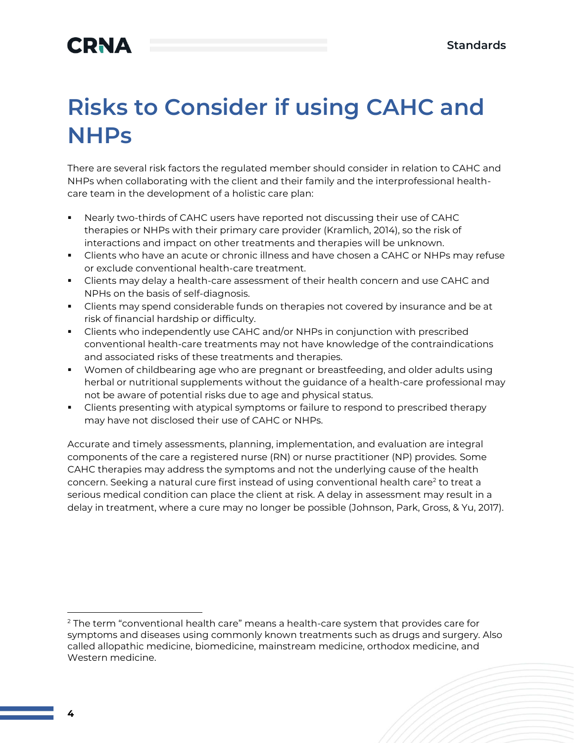## **CRNA**

# **Risks to Consider if using CAHC and NHPs**

There are several risk factors the regulated member should consider in relation to CAHC and NHPs when collaborating with the client and their family and the interprofessional healthcare team in the development of a holistic care plan:

- Nearly two-thirds of CAHC users have reported not discussing their use of CAHC therapies or NHPs with their primary care provider (Kramlich, 2014), so the risk of interactions and impact on other treatments and therapies will be unknown.
- **EXECT** Clients who have an acute or chronic illness and have chosen a CAHC or NHPs may refuse or exclude conventional health-care treatment.
- **EXECT** Clients may delay a health-care assessment of their health concern and use CAHC and NPHs on the basis of self-diagnosis.
- **EXECT** Clients may spend considerable funds on therapies not covered by insurance and be at risk of financial hardship or difficulty.
- Clients who independently use CAHC and/or NHPs in conjunction with prescribed conventional health-care treatments may not have knowledge of the contraindications and associated risks of these treatments and therapies.
- Women of childbearing age who are pregnant or breastfeeding, and older adults using herbal or nutritional supplements without the guidance of a health-care professional may not be aware of potential risks due to age and physical status.
- **•** Clients presenting with atypical symptoms or failure to respond to prescribed therapy may have not disclosed their use of CAHC or NHPs.

Accurate and timely assessments, planning, implementation, and evaluation are integral components of the care a registered nurse (RN) or nurse practitioner (NP) provides. Some CAHC therapies may address the symptoms and not the underlying cause of the health concern. Seeking a natural cure first instead of using conventional health care<sup>2</sup> to treat a serious medical condition can place the client at risk. A delay in assessment may result in a delay in treatment, where a cure may no longer be possible (Johnson, Park, Gross, & Yu, 2017).

<sup>&</sup>lt;sup>2</sup> The term "conventional health care" means a health-care system that provides care for symptoms and diseases using commonly known treatments such as drugs and surgery. Also called allopathic medicine, biomedicine, mainstream medicine, orthodox medicine, and Western medicine.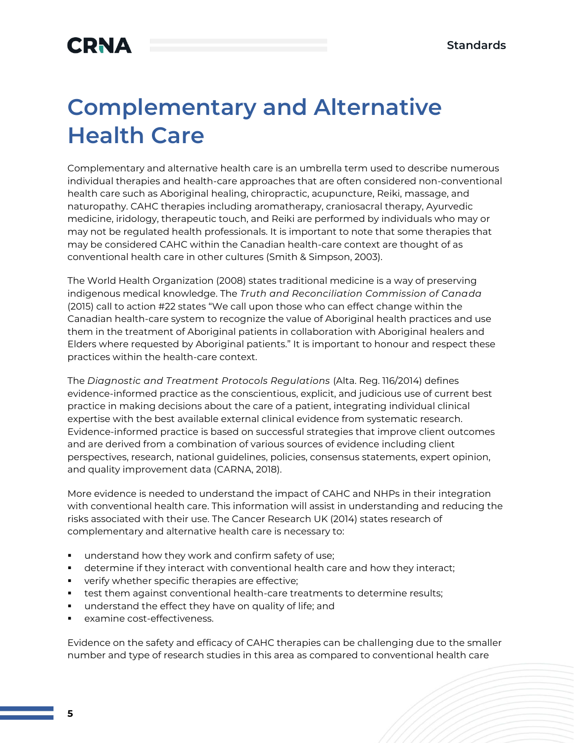# **Complementary and Alternative Health Care**

Complementary and alternative health care is an umbrella term used to describe numerous individual therapies and health-care approaches that are often considered non-conventional health care such as Aboriginal healing, chiropractic, acupuncture, Reiki, massage, and naturopathy. CAHC therapies including aromatherapy, craniosacral therapy, Ayurvedic medicine, iridology, therapeutic touch, and Reiki are performed by individuals who may or may not be regulated health professionals. It is important to note that some therapies that may be considered CAHC within the Canadian health-care context are thought of as conventional health care in other cultures (Smith & Simpson, 2003).

The World Health Organization (2008) states traditional medicine is a way of preserving indigenous medical knowledge. The *Truth and Reconciliation Commission of Canada* (2015) call to action #22 states "We call upon those who can effect change within the Canadian health-care system to recognize the value of Aboriginal health practices and use them in the treatment of Aboriginal patients in collaboration with Aboriginal healers and Elders where requested by Aboriginal patients." It is important to honour and respect these practices within the health-care context.

The *Diagnostic and Treatment Protocols Regulations* (Alta. Reg. 116/2014) defines evidence-informed practice as the conscientious, explicit, and judicious use of current best practice in making decisions about the care of a patient, integrating individual clinical expertise with the best available external clinical evidence from systematic research. Evidence-informed practice is based on successful strategies that improve client outcomes and are derived from a combination of various sources of evidence including client perspectives, research, national guidelines, policies, consensus statements, expert opinion, and quality improvement data (CARNA, 2018).

More evidence is needed to understand the impact of CAHC and NHPs in their integration with conventional health care. This information will assist in understanding and reducing the risks associated with their use. The Cancer Research UK (2014) states research of complementary and alternative health care is necessary to:

- understand how they work and confirm safety of use;
- determine if they interact with conventional health care and how they interact;
- verify whether specific therapies are effective;
- **•** test them against conventional health-care treatments to determine results;
- understand the effect they have on quality of life; and
- examine cost-effectiveness.

Evidence on the safety and efficacy of CAHC therapies can be challenging due to the smaller number and type of research studies in this area as compared to conventional health care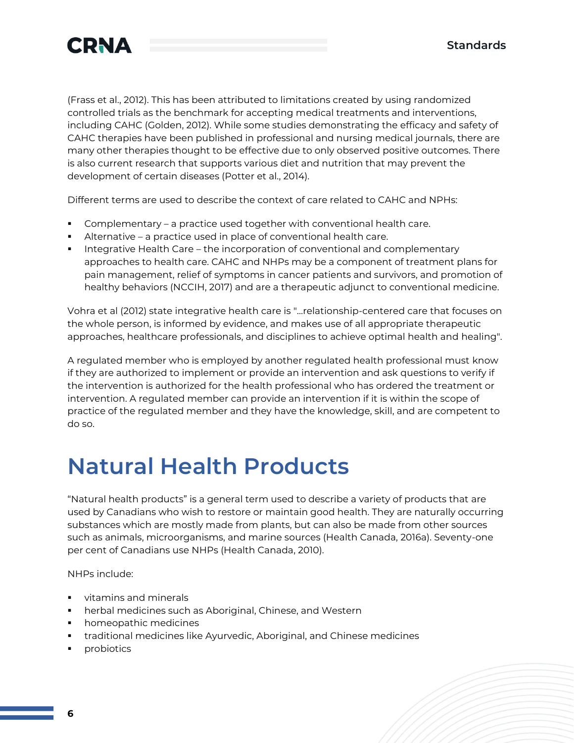

(Frass et al., 2012). This has been attributed to limitations created by using randomized controlled trials as the benchmark for accepting medical treatments and interventions, including CAHC (Golden, 2012). While some studies demonstrating the efficacy and safety of CAHC therapies have been published in professional and nursing medical journals, there are many other therapies thought to be effective due to only observed positive outcomes. There is also current research that supports various diet and nutrition that may prevent the development of certain diseases (Potter et al., 2014).

Different terms are used to describe the context of care related to CAHC and NPHs:

- Complementary a practice used together with conventional health care.
- Alternative a practice used in place of conventional health care.
- Integrative Health Care the incorporation of conventional and complementary approaches to health care. CAHC and NHPs may be a component of treatment plans for pain management, relief of symptoms in cancer patients and survivors, and promotion of healthy behaviors (NCCIH, 2017) and are a therapeutic adjunct to conventional medicine.

Vohra et al (2012) state integrative health care is "…relationship-centered care that focuses on the whole person, is informed by evidence, and makes use of all appropriate therapeutic approaches, healthcare professionals, and disciplines to achieve optimal health and healing".

A regulated member who is employed by another regulated health professional must know if they are authorized to implement or provide an intervention and ask questions to verify if the intervention is authorized for the health professional who has ordered the treatment or intervention. A regulated member can provide an intervention if it is within the scope of practice of the regulated member and they have the knowledge, skill, and are competent to do so.

## **Natural Health Products**

"Natural health products" is a general term used to describe a variety of products that are used by Canadians who wish to restore or maintain good health. They are naturally occurring substances which are mostly made from plants, but can also be made from other sources such as animals, microorganisms, and marine sources (Health Canada, 2016a). Seventy-one per cent of Canadians use NHPs (Health Canada, 2010).

NHPs include:

- vitamins and minerals
- herbal medicines such as Aboriginal, Chinese, and Western
- homeopathic medicines
- traditional medicines like Ayurvedic, Aboriginal, and Chinese medicines
- probiotics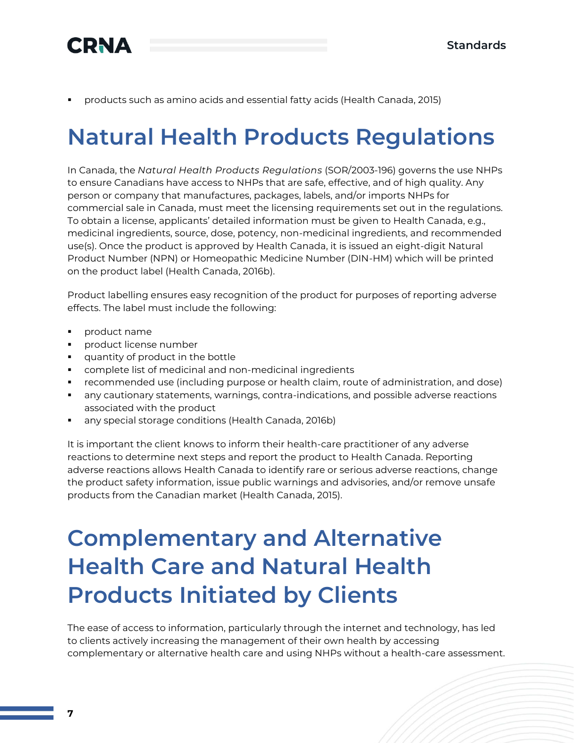

▪ products such as amino acids and essential fatty acids (Health Canada, 2015)

## **Natural Health Products Regulations**

In Canada, the *Natural Health Products Regulations* (SOR/2003-196) governs the use NHPs to ensure Canadians have access to NHPs that are safe, effective, and of high quality. Any person or company that manufactures, packages, labels, and/or imports NHPs for commercial sale in Canada, must meet the licensing requirements set out in the regulations. To obtain a license, applicants' detailed information must be given to Health Canada, e.g., medicinal ingredients, source, dose, potency, non-medicinal ingredients, and recommended use(s). Once the product is approved by Health Canada, it is issued an eight-digit Natural Product Number (NPN) or Homeopathic Medicine Number (DIN-HM) which will be printed on the product label (Health Canada, 2016b).

Product labelling ensures easy recognition of the product for purposes of reporting adverse effects. The label must include the following:

- product name
- product license number
- quantity of product in the bottle
- complete list of medicinal and non-medicinal ingredients
- **•** recommended use (including purpose or health claim, route of administration, and dose)
- any cautionary statements, warnings, contra-indications, and possible adverse reactions associated with the product
- any special storage conditions (Health Canada, 2016b)

It is important the client knows to inform their health-care practitioner of any adverse reactions to determine next steps and report the product to Health Canada. Reporting adverse reactions allows Health Canada to identify rare or serious adverse reactions, change the product safety information, issue public warnings and advisories, and/or remove unsafe products from the Canadian market (Health Canada, 2015).

## **Complementary and Alternative Health Care and Natural Health Products Initiated by Clients**

The ease of access to information, particularly through the internet and technology, has led to clients actively increasing the management of their own health by accessing complementary or alternative health care and using NHPs without a health-care assessment.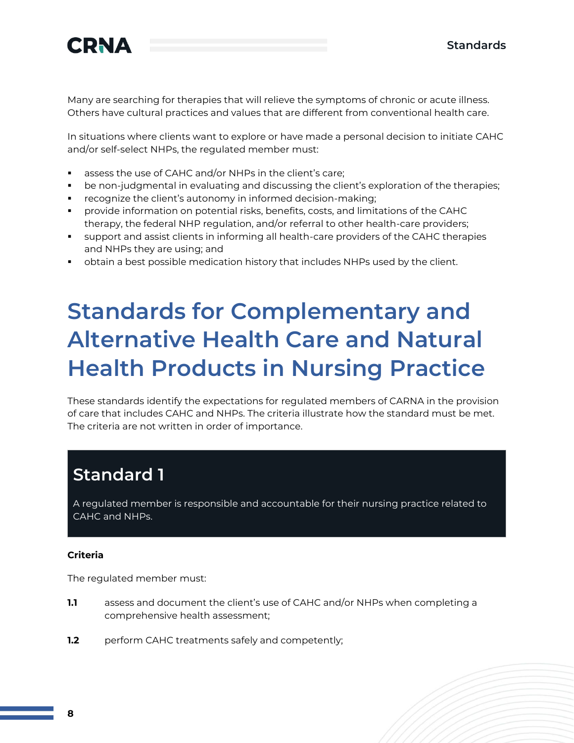

Many are searching for therapies that will relieve the symptoms of chronic or acute illness. Others have cultural practices and values that are different from conventional health care.

In situations where clients want to explore or have made a personal decision to initiate CAHC and/or self-select NHPs, the regulated member must:

- assess the use of CAHC and/or NHPs in the client's care;
- be non-judgmental in evaluating and discussing the client's exploration of the therapies;
- recognize the client's autonomy in informed decision-making;
- provide information on potential risks, benefits, costs, and limitations of the CAHC therapy, the federal NHP regulation, and/or referral to other health-care providers;
- support and assist clients in informing all health-care providers of the CAHC therapies and NHPs they are using; and
- obtain a best possible medication history that includes NHPs used by the client.

## **Standards for Complementary and Alternative Health Care and Natural Health Products in Nursing Practice**

These standards identify the expectations for regulated members of CARNA in the provision of care that includes CAHC and NHPs. The criteria illustrate how the standard must be met. The criteria are not written in order of importance.

### **Standard 1**

A regulated member is responsible and accountable for their nursing practice related to CAHC and NHPs.

#### **Criteria**

The regulated member must:

- **1.1** assess and document the client's use of CAHC and/or NHPs when completing a comprehensive health assessment;
- **1.2** perform CAHC treatments safely and competently;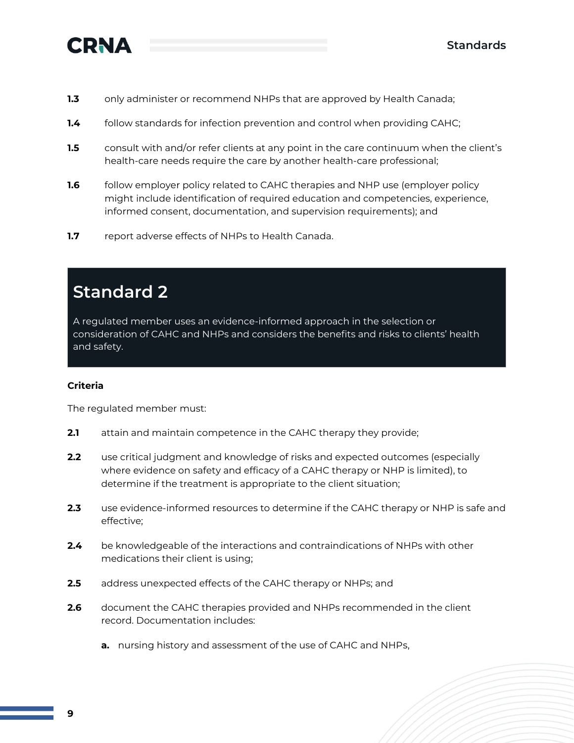

- **1.3** only administer or recommend NHPs that are approved by Health Canada;
- **1.4** follow standards for infection prevention and control when providing CAHC;
- **1.5** consult with and/or refer clients at any point in the care continuum when the client's health-care needs require the care by another health-care professional;
- **1.6** follow employer policy related to CAHC therapies and NHP use (employer policy might include identification of required education and competencies, experience, informed consent, documentation, and supervision requirements); and
- **1.7** report adverse effects of NHPs to Health Canada.

### **Standard 2**

A regulated member uses an evidence-informed approach in the selection or consideration of CAHC and NHPs and considers the benefits and risks to clients' health and safety.

#### **Criteria**

The regulated member must:

- **2.1** attain and maintain competence in the CAHC therapy they provide;
- **2.2** use critical judgment and knowledge of risks and expected outcomes (especially where evidence on safety and efficacy of a CAHC therapy or NHP is limited), to determine if the treatment is appropriate to the client situation;
- **2.3** use evidence-informed resources to determine if the CAHC therapy or NHP is safe and effective;
- **2.4** be knowledgeable of the interactions and contraindications of NHPs with other medications their client is using;
- **2.5** address unexpected effects of the CAHC therapy or NHPs; and
- **2.6** document the CAHC therapies provided and NHPs recommended in the client record. Documentation includes:
	- **a.** nursing history and assessment of the use of CAHC and NHPs,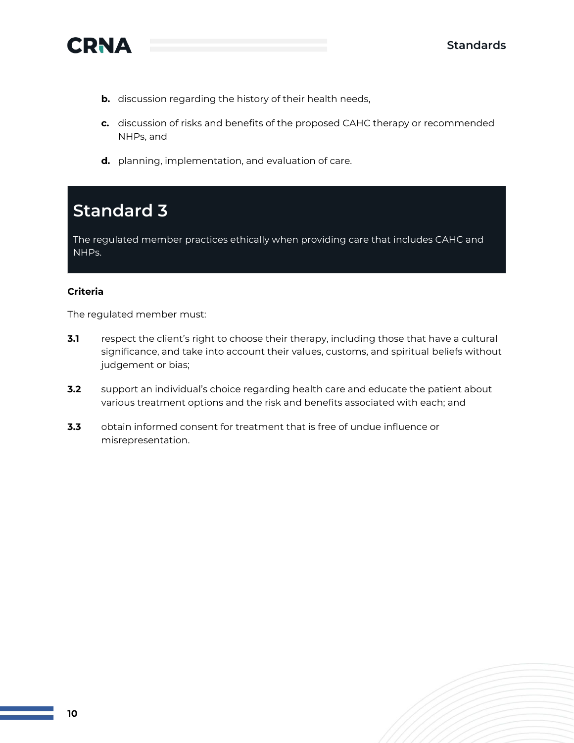



- **b.** discussion regarding the history of their health needs,
- **c.** discussion of risks and benefits of the proposed CAHC therapy or recommended NHPs, and
- **d.** planning, implementation, and evaluation of care.

### **Standard 3**

The regulated member practices ethically when providing care that includes CAHC and NHPs.

#### **Criteria**

The regulated member must:

- **3.1** respect the client's right to choose their therapy, including those that have a cultural significance, and take into account their values, customs, and spiritual beliefs without judgement or bias;
- **3.2** support an individual's choice regarding health care and educate the patient about various treatment options and the risk and benefits associated with each; and
- **3.3** obtain informed consent for treatment that is free of undue influence or misrepresentation.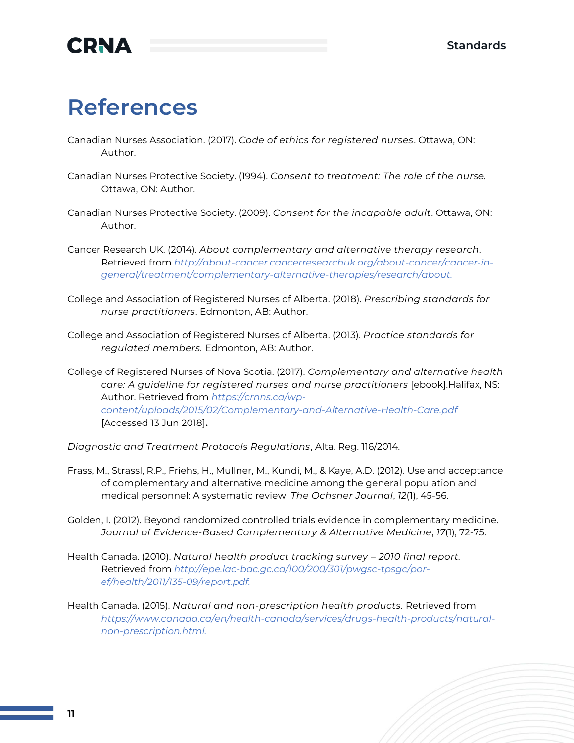

## **References**

- Canadian Nurses Association. (2017). *Code of ethics for registered nurses*. Ottawa, ON: Author.
- Canadian Nurses Protective Society. (1994). *Consent to treatment: The role of the nurse.* Ottawa, ON: Author.
- Canadian Nurses Protective Society. (2009). *Consent for the incapable adult*. Ottawa, ON: Author.
- Cancer Research UK. (2014). *About complementary and alternative therapy research*. Retrieved from *[http://about-cancer.cancerresearchuk.org/about-cancer/cancer-in](http://about-cancer.cancerresearchuk.org/about-cancer/cancer-in-general/treatment/complementary-alternative-therapies/research/about)[general/treatment/complementary-alternative-therapies/research/about.](http://about-cancer.cancerresearchuk.org/about-cancer/cancer-in-general/treatment/complementary-alternative-therapies/research/about)*
- College and Association of Registered Nurses of Alberta. (2018). *Prescribing standards for nurse practitioners*. Edmonton, AB: Author.
- College and Association of Registered Nurses of Alberta. (2013). *Practice standards for regulated members.* Edmonton, AB: Author.

College of Registered Nurses of Nova Scotia. (2017). *Complementary and alternative health care: A guideline for registered nurses and nurse practitioners* [ebook].Halifax, NS: Author. Retrieved from *[https://crnns.ca/wp](https://crnns.ca/wp-content/uploads/2015/02/Complementary-and-Alternative-Health-Care.pdf)[content/uploads/2015/02/Complementary-and-Alternative-Health-Care.pdf](https://crnns.ca/wp-content/uploads/2015/02/Complementary-and-Alternative-Health-Care.pdf)* [Accessed 13 Jun 2018]**.**

*Diagnostic and Treatment Protocols Regulations*, Alta. Reg. 116/2014.

- Frass, M., Strassl, R.P., Friehs, H., Mullner, M., Kundi, M., & Kaye, A.D. (2012). Use and acceptance of complementary and alternative medicine among the general population and medical personnel: A systematic review. *The Ochsner Journal*, *12*(1), 45-56.
- Golden, I. (2012). Beyond randomized controlled trials evidence in complementary medicine. *Journal of Evidence-Based Complementary & Alternative Medicine*, *17*(1), 72-75.
- Health Canada. (2010). *Natural health product tracking survey – 2010 final report.* Retrieved from *[http://epe.lac-bac.gc.ca/100/200/301/pwgsc-tpsgc/por](http://epe.lac-bac.gc.ca/100/200/301/pwgsc-tpsgc/por-ef/health/2011/135-09/report.pdf)[ef/health/2011/135-09/report.pdf.](http://epe.lac-bac.gc.ca/100/200/301/pwgsc-tpsgc/por-ef/health/2011/135-09/report.pdf)*
- Health Canada. (2015). *Natural and non-prescription health products.* Retrieved from *[https://www.canada.ca/en/health-canada/services/drugs-health-products/natural](https://www.canada.ca/en/health-canada/services/drugs-health-products/natural-non-prescription.html)[non-prescription.html.](https://www.canada.ca/en/health-canada/services/drugs-health-products/natural-non-prescription.html)*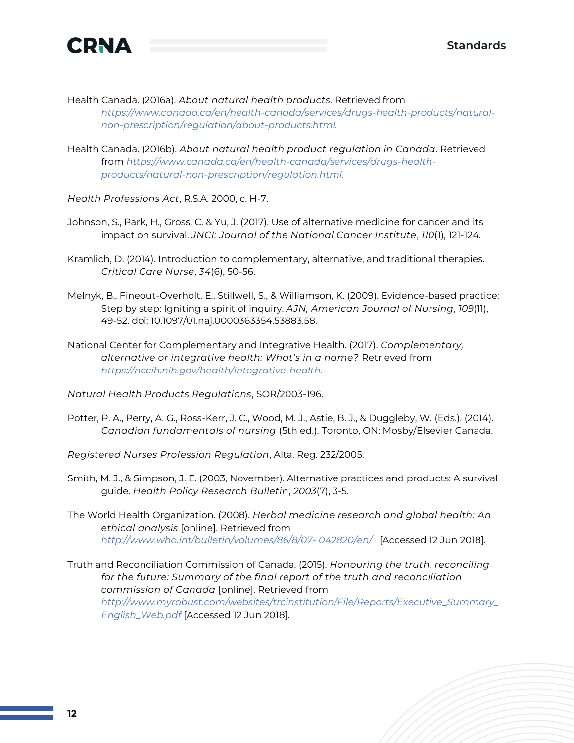

Health Canada. (2016a). *About natural health products*. Retrieved from

*[https://www.canada.ca/en/health-canada/services/drugs-health-products/natural](https://www.canada.ca/en/health-canada/services/drugs-health-products/natural-non-prescription/regulation/about-products.html)[non-prescription/regulation/about-products.html.](https://www.canada.ca/en/health-canada/services/drugs-health-products/natural-non-prescription/regulation/about-products.html)*

Health Canada. (2016b). *About natural health product regulation in Canada*. Retrieved from *[https://www.canada.ca/en/health-canada/services/drugs-health](https://www.canada.ca/en/health-canada/services/drugs-health-products/natural-non-prescription/regulation.html)[products/natural-non-prescription/regulation.html.](https://www.canada.ca/en/health-canada/services/drugs-health-products/natural-non-prescription/regulation.html)*

*Health Professions Act*, R.S.A. 2000, c. H-7.

- Johnson, S., Park, H., Gross, C. & Yu, J. (2017). Use of alternative medicine for cancer and its impact on survival. *JNCI: Journal of the National Cancer Institute*, *110*(1), 121-124.
- Kramlich, D. (2014). Introduction to complementary, alternative, and traditional therapies. *Critical Care Nurse*, *34*(6), 50-56.
- Melnyk, B., Fineout-Overholt, E., Stillwell, S., & Williamson, K. (2009). Evidence-based practice: Step by step: Igniting a spirit of inquiry. *AJN, American Journal of Nursing*, *109*(11), 49-52. doi: 10.1097/01.naj.0000363354.53883.58.
- National Center for Complementary and Integrative Health. (2017). *Complementary, alternative or integrative health: What's in a name?* Retrieved from *[https://nccih.nih.gov/health/integrative-health.](https://nccih.nih.gov/health/integrative-health)*

*Natural Health Products Regulations*, SOR/2003-196.

- Potter, P. A., Perry, A. G., Ross-Kerr, J. C., Wood, M. J., Astie, B. J., & Duggleby, W. (Eds.). (2014). *Canadian fundamentals of nursing* (5th ed.). Toronto, ON: Mosby/Elsevier Canada.
- *Registered Nurses Profession Regulation*, Alta. Reg. 232/2005.
- Smith, M. J., & Simpson, J. E. (2003, November). Alternative practices and products: A survival guide. *Health Policy Research Bulletin*, *2003*(7), 3-5.
- The World Health Organization. (2008). *Herbal medicine research and global health: An ethical analysis* [online]. Retrieved from *[http://www.who.int/bulletin/volumes/86/8/07-](http://www.who.int/bulletin/volumes/86/8/07-042820/en/) [042820/en/](http://www.who.int/bulletin/volumes/86/8/07-042820/en/)* [Accessed 12 Jun 2018].
- Truth and Reconciliation Commission of Canada. (2015). *Honouring the truth, reconciling*  for the future: Summary of the final report of the truth and reconciliation *commission of Canada* [online]. Retrieved from *[http://www.myrobust.com/websites/trcinstitution/File/Reports/Executive\\_Summary\\_](http://www.myrobust.com/websites/trcinstitution/File/Reports/Executive_Summary_English_Web.pdf) [English\\_Web.pdf](http://www.myrobust.com/websites/trcinstitution/File/Reports/Executive_Summary_English_Web.pdf)* [Accessed 12 Jun 2018].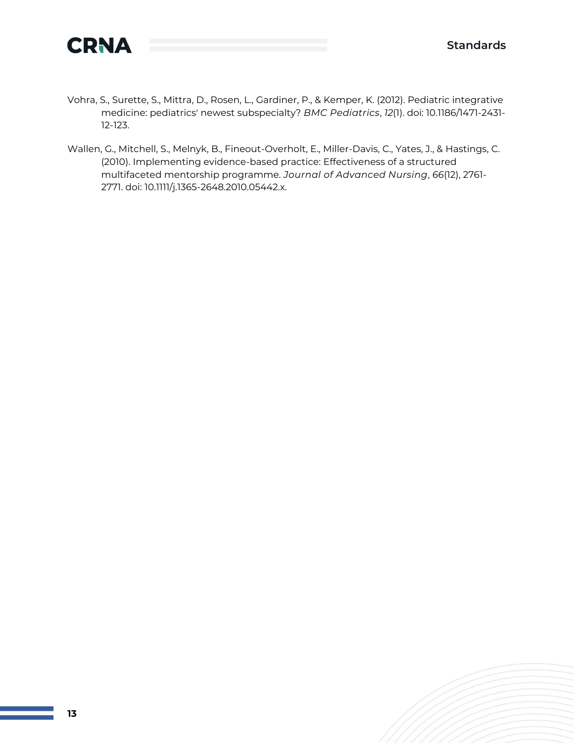

- Vohra, S., Surette, S., Mittra, D., Rosen, L., Gardiner, P., & Kemper, K. (2012). Pediatric integrative medicine: pediatrics' newest subspecialty? *BMC Pediatrics*, *12*(1). doi: 10.1186/1471-2431- 12-123.
- Wallen, G., Mitchell, S., Melnyk, B., Fineout-Overholt, E., Miller-Davis, C., Yates, J., & Hastings, C. (2010). Implementing evidence-based practice: Effectiveness of a structured multifaceted mentorship programme. *Journal of Advanced Nursing*, *66*(12), 2761- 2771. doi: 10.1111/j.1365-2648.2010.05442.x.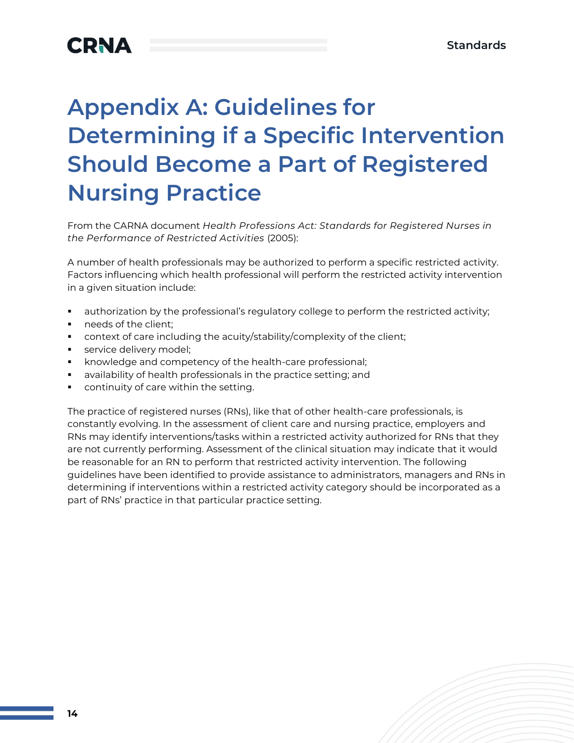# **Appendix A: Guidelines for Determining if a Specific Intervention Should Become a Part of Registered Nursing Practice**

From the CARNA document *Health Professions Act: Standards for Registered Nurses in the Performance of Restricted Activities* (2005):

A number of health professionals may be authorized to perform a specific restricted activity. Factors influencing which health professional will perform the restricted activity intervention in a given situation include:

- authorization by the professional's regulatory college to perform the restricted activity;
- needs of the client;
- context of care including the acuity/stability/complexity of the client;
- service delivery model;
- knowledge and competency of the health-care professional;
- availability of health professionals in the practice setting; and
- continuity of care within the setting.

The practice of registered nurses (RNs), like that of other health-care professionals, is constantly evolving. In the assessment of client care and nursing practice, employers and RNs may identify interventions/tasks within a restricted activity authorized for RNs that they are not currently performing. Assessment of the clinical situation may indicate that it would be reasonable for an RN to perform that restricted activity intervention. The following guidelines have been identified to provide assistance to administrators, managers and RNs in determining if interventions within a restricted activity category should be incorporated as a part of RNs' practice in that particular practice setting.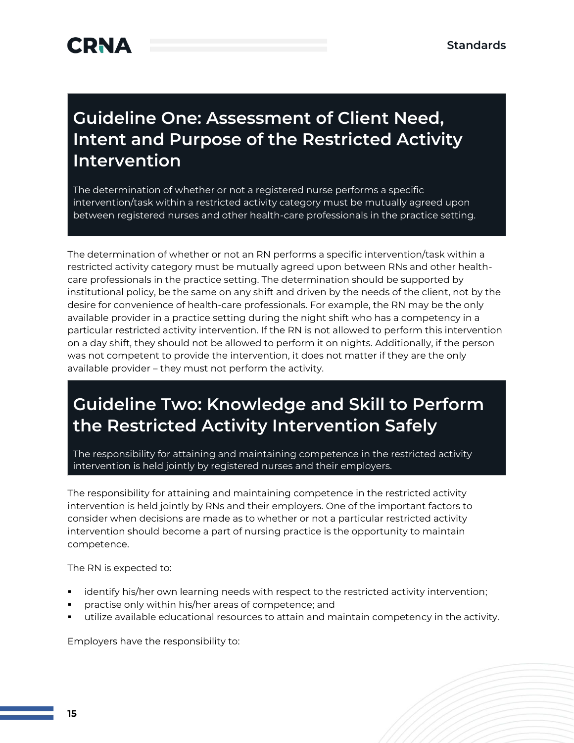### **Guideline One: Assessment of Client Need, Intent and Purpose of the Restricted Activity Intervention**

The determination of whether or not a registered nurse performs a specific intervention/task within a restricted activity category must be mutually agreed upon between registered nurses and other health-care professionals in the practice setting.

The determination of whether or not an RN performs a specific intervention/task within a restricted activity category must be mutually agreed upon between RNs and other healthcare professionals in the practice setting. The determination should be supported by institutional policy, be the same on any shift and driven by the needs of the client, not by the desire for convenience of health-care professionals. For example, the RN may be the only available provider in a practice setting during the night shift who has a competency in a particular restricted activity intervention. If the RN is not allowed to perform this intervention on a day shift, they should not be allowed to perform it on nights. Additionally, if the person was not competent to provide the intervention, it does not matter if they are the only available provider – they must not perform the activity.

### **Guideline Two: Knowledge and Skill to Perform the Restricted Activity Intervention Safely**

The responsibility for attaining and maintaining competence in the restricted activity intervention is held jointly by registered nurses and their employers.

The responsibility for attaining and maintaining competence in the restricted activity intervention is held jointly by RNs and their employers. One of the important factors to consider when decisions are made as to whether or not a particular restricted activity intervention should become a part of nursing practice is the opportunity to maintain competence.

The RN is expected to:

- identify his/her own learning needs with respect to the restricted activity intervention;
- practise only within his/her areas of competence; and
- utilize available educational resources to attain and maintain competency in the activity.

Employers have the responsibility to: